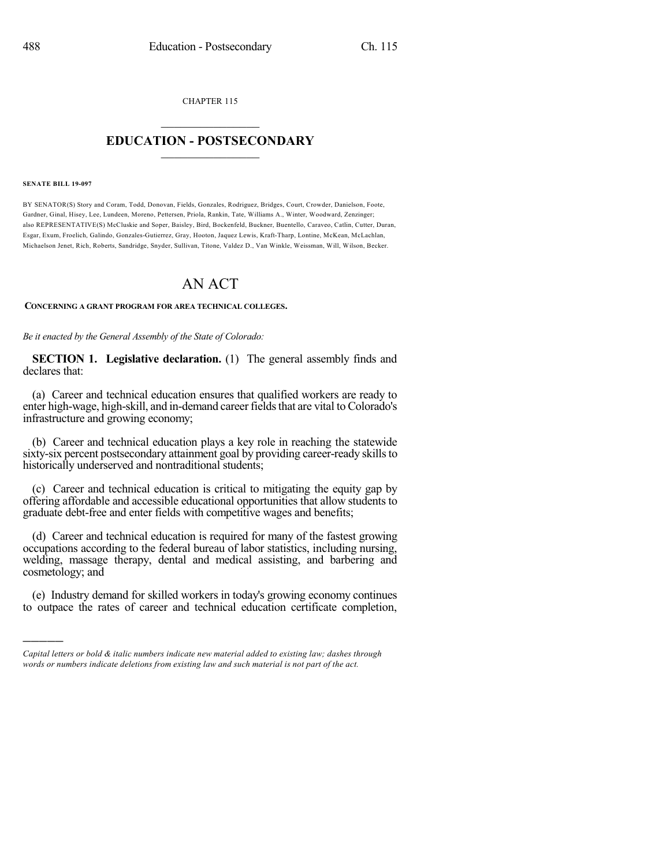CHAPTER 115

## $\overline{\phantom{a}}$  . The set of the set of the set of the set of the set of the set of the set of the set of the set of the set of the set of the set of the set of the set of the set of the set of the set of the set of the set o **EDUCATION - POSTSECONDARY**  $\_$   $\_$   $\_$   $\_$   $\_$   $\_$   $\_$   $\_$   $\_$

## **SENATE BILL 19-097**

)))))

BY SENATOR(S) Story and Coram, Todd, Donovan, Fields, Gonzales, Rodriguez, Bridges, Court, Crowder, Danielson, Foote, Gardner, Ginal, Hisey, Lee, Lundeen, Moreno, Pettersen, Priola, Rankin, Tate, Williams A., Winter, Woodward, Zenzinger; also REPRESENTATIVE(S) McCluskie and Soper, Baisley, Bird, Bockenfeld, Buckner, Buentello, Caraveo, Catlin, Cutter, Duran, Esgar, Exum, Froelich, Galindo, Gonzales-Gutierrez, Gray, Hooton, Jaquez Lewis, Kraft-Tharp, Lontine, McKean, McLachlan, Michaelson Jenet, Rich, Roberts, Sandridge, Snyder, Sullivan, Titone, Valdez D., Van Winkle, Weissman, Will, Wilson, Becker.

## AN ACT

## **CONCERNING A GRANT PROGRAM FOR AREA TECHNICAL COLLEGES.**

*Be it enacted by the General Assembly of the State of Colorado:*

**SECTION 1. Legislative declaration.** (1) The general assembly finds and declares that:

(a) Career and technical education ensures that qualified workers are ready to enter high-wage, high-skill, and in-demand career fieldsthat are vital to Colorado's infrastructure and growing economy;

(b) Career and technical education plays a key role in reaching the statewide sixty-six percent postsecondary attainment goal by providing career-ready skills to historically underserved and nontraditional students;

(c) Career and technical education is critical to mitigating the equity gap by offering affordable and accessible educational opportunities that allow students to graduate debt-free and enter fields with competitive wages and benefits;

(d) Career and technical education is required for many of the fastest growing occupations according to the federal bureau of labor statistics, including nursing, welding, massage therapy, dental and medical assisting, and barbering and cosmetology; and

(e) Industry demand for skilled workers in today's growing economy continues to outpace the rates of career and technical education certificate completion,

*Capital letters or bold & italic numbers indicate new material added to existing law; dashes through words or numbers indicate deletions from existing law and such material is not part of the act.*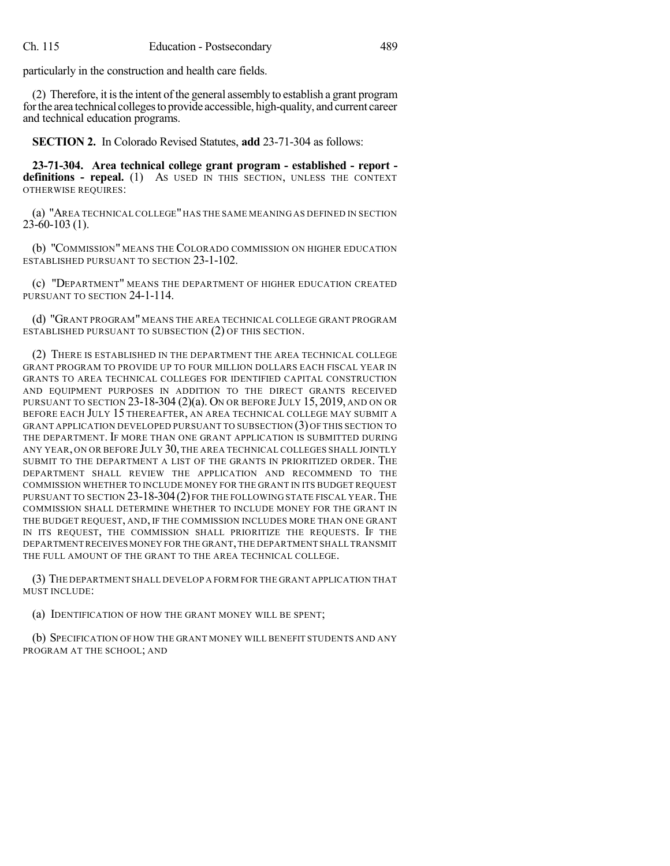particularly in the construction and health care fields.

(2) Therefore, it isthe intent of the general assembly to establish a grant program for the area technical colleges to provide accessible, high-quality, and current career and technical education programs.

**SECTION 2.** In Colorado Revised Statutes, **add** 23-71-304 as follows:

**23-71-304. Area technical college grant program - established - report definitions - repeal.** (1) AS USED IN THIS SECTION, UNLESS THE CONTEXT OTHERWISE REQUIRES:

(a) "AREA TECHNICAL COLLEGE"HAS THE SAME MEANING AS DEFINED IN SECTION 23-60-103 (1).

(b) "COMMISSION" MEANS THE COLORADO COMMISSION ON HIGHER EDUCATION ESTABLISHED PURSUANT TO SECTION 23-1-102.

(c) "DEPARTMENT" MEANS THE DEPARTMENT OF HIGHER EDUCATION CREATED PURSUANT TO SECTION 24-1-114.

(d) "GRANT PROGRAM" MEANS THE AREA TECHNICAL COLLEGE GRANT PROGRAM ESTABLISHED PURSUANT TO SUBSECTION (2) OF THIS SECTION.

(2) THERE IS ESTABLISHED IN THE DEPARTMENT THE AREA TECHNICAL COLLEGE GRANT PROGRAM TO PROVIDE UP TO FOUR MILLION DOLLARS EACH FISCAL YEAR IN GRANTS TO AREA TECHNICAL COLLEGES FOR IDENTIFIED CAPITAL CONSTRUCTION AND EQUIPMENT PURPOSES IN ADDITION TO THE DIRECT GRANTS RECEIVED PURSUANT TO SECTION 23-18-304 (2)(a). ON OR BEFORE JULY 15, 2019, AND ON OR BEFORE EACH JULY 15 THEREAFTER, AN AREA TECHNICAL COLLEGE MAY SUBMIT A GRANT APPLICATION DEVELOPED PURSUANT TO SUBSECTION (3) OF THIS SECTION TO THE DEPARTMENT. IF MORE THAN ONE GRANT APPLICATION IS SUBMITTED DURING ANY YEAR, ON OR BEFORE JULY 30, THE AREA TECHNICAL COLLEGES SHALL JOINTLY SUBMIT TO THE DEPARTMENT A LIST OF THE GRANTS IN PRIORITIZED ORDER. THE DEPARTMENT SHALL REVIEW THE APPLICATION AND RECOMMEND TO THE COMMISSION WHETHER TO INCLUDE MONEY FOR THE GRANT IN ITS BUDGET REQUEST PURSUANT TO SECTION 23-18-304(2) FOR THE FOLLOWING STATE FISCAL YEAR.THE COMMISSION SHALL DETERMINE WHETHER TO INCLUDE MONEY FOR THE GRANT IN THE BUDGET REQUEST, AND, IF THE COMMISSION INCLUDES MORE THAN ONE GRANT IN ITS REQUEST, THE COMMISSION SHALL PRIORITIZE THE REQUESTS. IF THE DEPARTMENT RECEIVES MONEY FOR THE GRANT,THE DEPARTMENT SHALL TRANSMIT THE FULL AMOUNT OF THE GRANT TO THE AREA TECHNICAL COLLEGE.

(3) THE DEPARTMENT SHALL DEVELOP A FORM FOR THE GRANT APPLICATION THAT MUST INCLUDE:

(a) IDENTIFICATION OF HOW THE GRANT MONEY WILL BE SPENT;

(b) SPECIFICATION OF HOW THE GRANT MONEY WILL BENEFIT STUDENTS AND ANY PROGRAM AT THE SCHOOL; AND